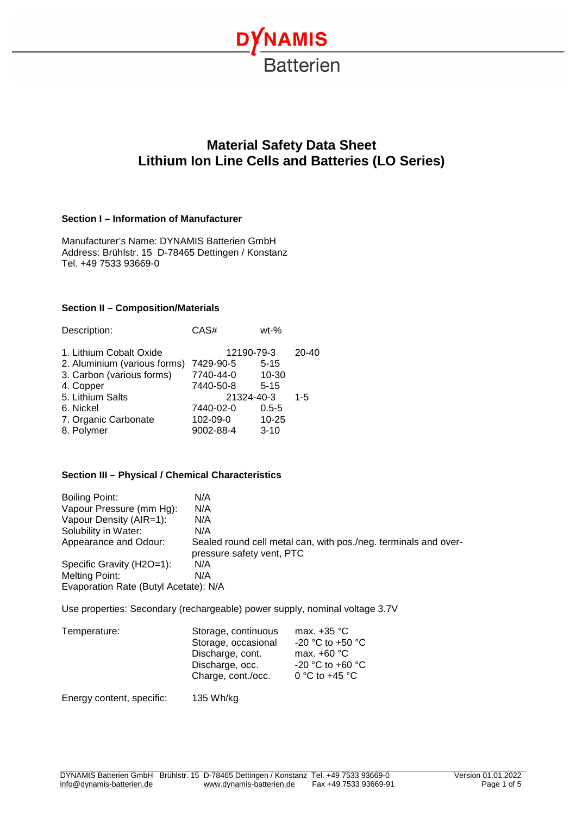

# **Material Safety Data Sheet Lithium Ion Line Cells and Batteries (LO Series)**

# **Section I – Information of Manufacturer**

Manufacturer's Name: DYNAMIS Batterien GmbH Address: Brühlstr. 15 D-78465 Dettingen / Konstanz Tel. +49 7533 93669-0

#### **Section II – Composition/Materials**

| Description:                 | CAS#      | $wt-%$     |           |
|------------------------------|-----------|------------|-----------|
| 1. Lithium Cobalt Oxide      |           | 12190-79-3 | $20 - 40$ |
| 2. Aluminium (various forms) | 7429-90-5 | $5 - 15$   |           |
| 3. Carbon (various forms)    | 7740-44-0 | $10 - 30$  |           |
| 4. Copper                    | 7440-50-8 | $5 - 15$   |           |
| 5. Lithium Salts             |           | 21324-40-3 | $1 - 5$   |
| 6. Nickel                    | 7440-02-0 | $0.5 - 5$  |           |
| 7. Organic Carbonate         | 102-09-0  | $10 - 25$  |           |
| 8. Polymer                   | 9002-88-4 | $3 - 10$   |           |

# **Section III – Physical / Chemical Characteristics**

| Boiling Point:                        | N/A                                                                                          |
|---------------------------------------|----------------------------------------------------------------------------------------------|
| Vapour Pressure (mm Hg):              | N/A                                                                                          |
| Vapour Density (AIR=1):               | N/A                                                                                          |
| Solubility in Water:                  | N/A                                                                                          |
| Appearance and Odour:                 | Sealed round cell metal can, with pos./neg. terminals and over-<br>pressure safety vent, PTC |
| Specific Gravity (H2O=1):             | N/A                                                                                          |
| Melting Point:                        | N/A                                                                                          |
| Evaporation Rate (Butyl Acetate): N/A |                                                                                              |

Use properties: Secondary (rechargeable) power supply, nominal voltage 3.7V

| Temperature: | Storage, continuous<br>Storage, occasional<br>Discharge, cont.<br>Discharge, occ.<br>Charge, cont./occ. | max. $+35$ °C<br>-20 °C to +50 °C<br>max. $+60 °C$<br>-20 °C to +60 °C<br>0 °C to +45 °C |
|--------------|---------------------------------------------------------------------------------------------------------|------------------------------------------------------------------------------------------|
|              |                                                                                                         |                                                                                          |

Energy content, specific: 135 Wh/kg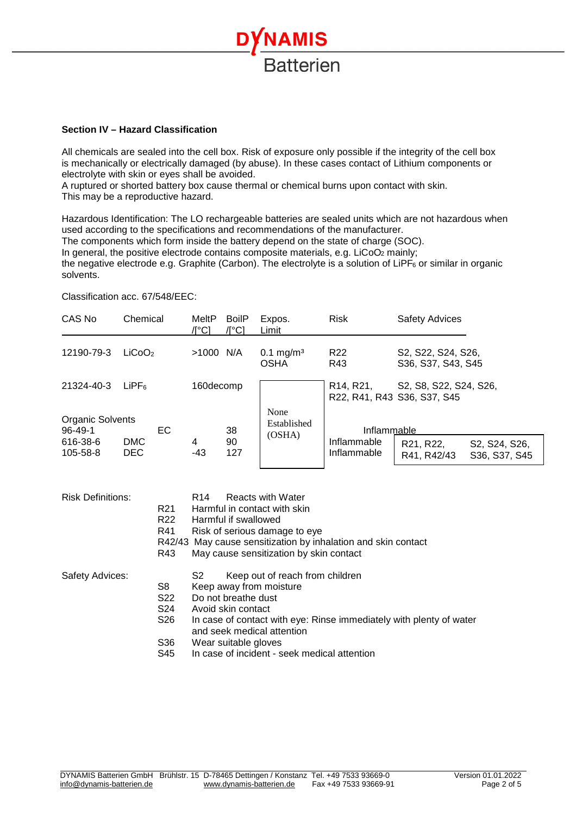

#### **Section IV – Hazard Classification**

All chemicals are sealed into the cell box. Risk of exposure only possible if the integrity of the cell box is mechanically or electrically damaged (by abuse). In these cases contact of Lithium components or electrolyte with skin or eyes shall be avoided.

A ruptured or shorted battery box cause thermal or chemical burns upon contact with skin. This may be a reproductive hazard.

Hazardous Identification: The LO rechargeable batteries are sealed units which are not hazardous when used according to the specifications and recommendations of the manufacturer.

The components which form inside the battery depend on the state of charge (SOC).

In general, the positive electrode contains composite materials, e.g. LiCoO<sub>2</sub> mainly;

the negative electrode e.g. Graphite (Carbon). The electrolyte is a solution of LiPF<sub>6</sub> or similar in organic solvents.

#### Classification acc. 67/548/EEC:

| CAS No                            | Chemical                 |     | MeltP<br>/l°C1 | <b>BoilP</b><br>/l°Cl | Expos.<br>Limit                      | Risk                                                               | <b>Safety Advices</b>                    |                                |
|-----------------------------------|--------------------------|-----|----------------|-----------------------|--------------------------------------|--------------------------------------------------------------------|------------------------------------------|--------------------------------|
| 12190-79-3                        | LiCoO <sub>2</sub>       |     | >1000 N/A      |                       | 0.1 mg/m <sup>3</sup><br><b>OSHA</b> | R <sub>22</sub><br>R43                                             | S2, S22, S24, S26,<br>S36, S37, S43, S45 |                                |
| 21324-40-3                        | LiPF <sub>6</sub>        |     | 160decomp      |                       |                                      | R <sub>14</sub> , R <sub>21</sub> ,<br>R22, R41, R43 S36, S37, S45 | S2, S8, S22, S24, S26,                   |                                |
| Organic Solvents<br>$96 - 49 - 1$ |                          | EC. |                | 38                    | None<br>Established                  | Inflammable                                                        |                                          |                                |
| 616-38-6<br>105-58-8              | <b>DMC</b><br><b>DEC</b> |     | 4<br>-43       | 90<br>127             | (OSHA)                               | Inflammable<br>Inflammable                                         | R21, R22,<br>R41, R42/43                 | S2, S24, S26,<br>S36, S37, S45 |

| <b>Risk Definitions:</b> |                 | <b>Reacts with Water</b><br>R <sub>14</sub>                         |
|--------------------------|-----------------|---------------------------------------------------------------------|
|                          | R <sub>21</sub> | Harmful in contact with skin                                        |
|                          | R <sub>22</sub> | Harmful if swallowed                                                |
|                          | R41             | Risk of serious damage to eye                                       |
|                          |                 | R42/43 May cause sensitization by inhalation and skin contact       |
|                          | R43             | May cause sensitization by skin contact                             |
| Safety Advices:          |                 | S2<br>Keep out of reach from children                               |
|                          | S8              | Keep away from moisture                                             |
|                          | S <sub>22</sub> | Do not breathe dust                                                 |
|                          | S24             | Avoid skin contact                                                  |
|                          | S26             | In case of contact with eye: Rinse immediately with plenty of water |
|                          |                 | and seek medical attention                                          |
|                          | S36             | Wear suitable gloves                                                |
|                          | S45             | In case of incident - seek medical attention                        |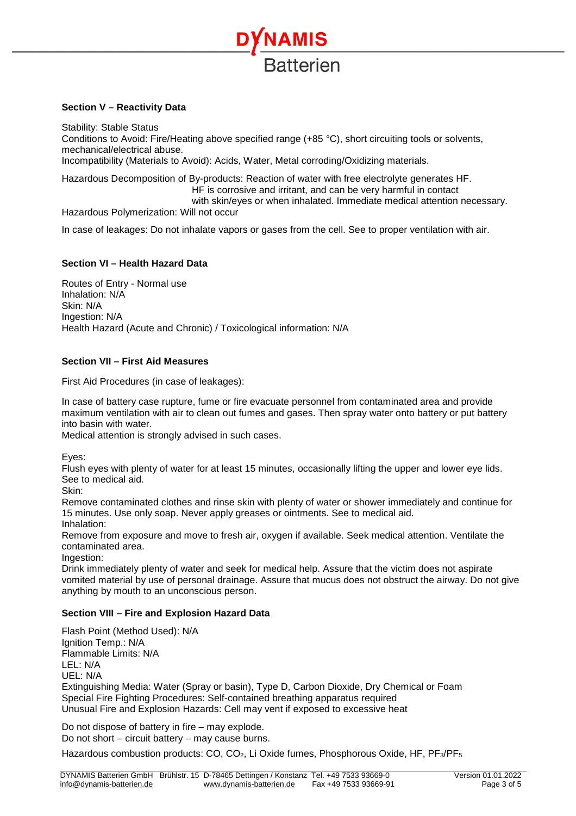

# **Section V – Reactivity Data**

Stability: Stable Status Conditions to Avoid: Fire/Heating above specified range (+85 °C), short circuiting tools or solvents, mechanical/electrical abuse. Incompatibility (Materials to Avoid): Acids, Water, Metal corroding/Oxidizing materials.

Hazardous Decomposition of By-products: Reaction of water with free electrolyte generates HF. HF is corrosive and irritant, and can be very harmful in contact with skin/eyes or when inhalated. Immediate medical attention necessary. Hazardous Polymerization: Will not occur

In case of leakages: Do not inhalate vapors or gases from the cell. See to proper ventilation with air.

# **Section VI – Health Hazard Data**

Routes of Entry - Normal use Inhalation: N/A Skin: N/A Ingestion: N/A Health Hazard (Acute and Chronic) / Toxicological information: N/A

# **Section VII – First Aid Measures**

First Aid Procedures (in case of leakages):

In case of battery case rupture, fume or fire evacuate personnel from contaminated area and provide maximum ventilation with air to clean out fumes and gases. Then spray water onto battery or put battery into basin with water.

Medical attention is strongly advised in such cases.

Eyes:

Flush eyes with plenty of water for at least 15 minutes, occasionally lifting the upper and lower eye lids. See to medical aid.

Skin:

Remove contaminated clothes and rinse skin with plenty of water or shower immediately and continue for 15 minutes. Use only soap. Never apply greases or ointments. See to medical aid. Inhalation:

Remove from exposure and move to fresh air, oxygen if available. Seek medical attention. Ventilate the contaminated area.

Ingestion:

Drink immediately plenty of water and seek for medical help. Assure that the victim does not aspirate vomited material by use of personal drainage. Assure that mucus does not obstruct the airway. Do not give anything by mouth to an unconscious person.

# **Section VIII – Fire and Explosion Hazard Data**

Flash Point (Method Used): N/A Ignition Temp.: N/A Flammable Limits: N/A  $IFI \cdot N/A$ UEL: N/A Extinguishing Media: Water (Spray or basin), Type D, Carbon Dioxide, Dry Chemical or Foam Special Fire Fighting Procedures: Self-contained breathing apparatus required Unusual Fire and Explosion Hazards: Cell may vent if exposed to excessive heat

Do not dispose of battery in fire – may explode. Do not short – circuit battery – may cause burns.

Hazardous combustion products: CO, CO<sub>2</sub>, Li Oxide fumes, Phosphorous Oxide, HF, PF<sub>3</sub>/PF<sub>5</sub>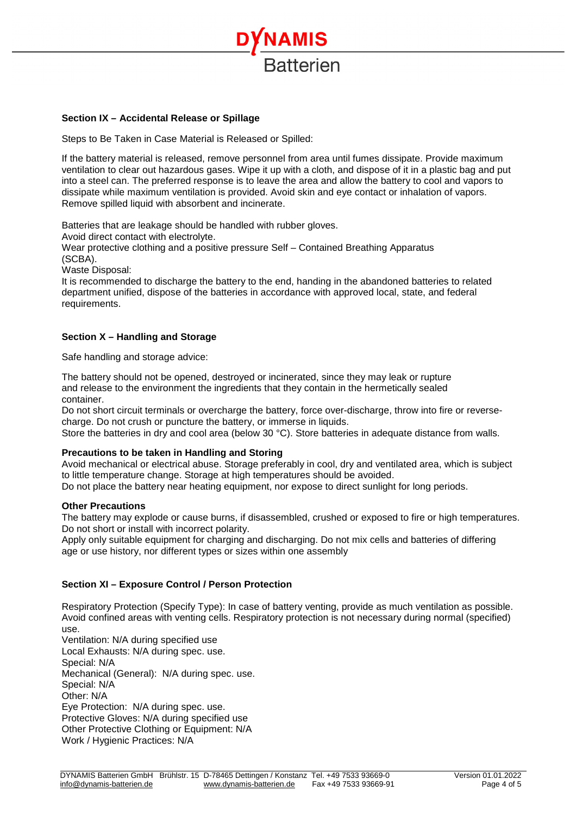

# **Section IX – Accidental Release or Spillage**

Steps to Be Taken in Case Material is Released or Spilled:

If the battery material is released, remove personnel from area until fumes dissipate. Provide maximum ventilation to clear out hazardous gases. Wipe it up with a cloth, and dispose of it in a plastic bag and put into a steel can. The preferred response is to leave the area and allow the battery to cool and vapors to dissipate while maximum ventilation is provided. Avoid skin and eye contact or inhalation of vapors. Remove spilled liquid with absorbent and incinerate.

Batteries that are leakage should be handled with rubber gloves.

Avoid direct contact with electrolyte.

Wear protective clothing and a positive pressure Self – Contained Breathing Apparatus

(SCBA).

Waste Disposal:

It is recommended to discharge the battery to the end, handing in the abandoned batteries to related department unified, dispose of the batteries in accordance with approved local, state, and federal requirements.

# **Section X – Handling and Storage**

Safe handling and storage advice:

The battery should not be opened, destroyed or incinerated, since they may leak or rupture and release to the environment the ingredients that they contain in the hermetically sealed container.

Do not short circuit terminals or overcharge the battery, force over-discharge, throw into fire or reversecharge. Do not crush or puncture the battery, or immerse in liquids.

Store the batteries in dry and cool area (below 30 °C). Store batteries in adequate distance from walls.

# **Precautions to be taken in Handling and Storing**

Avoid mechanical or electrical abuse. Storage preferably in cool, dry and ventilated area, which is subject to little temperature change. Storage at high temperatures should be avoided.

Do not place the battery near heating equipment, nor expose to direct sunlight for long periods.

#### **Other Precautions**

The battery may explode or cause burns, if disassembled, crushed or exposed to fire or high temperatures. Do not short or install with incorrect polarity.

Apply only suitable equipment for charging and discharging. Do not mix cells and batteries of differing age or use history, nor different types or sizes within one assembly

# **Section XI – Exposure Control / Person Protection**

Respiratory Protection (Specify Type): In case of battery venting, provide as much ventilation as possible. Avoid confined areas with venting cells. Respiratory protection is not necessary during normal (specified) use.

Ventilation: N/A during specified use Local Exhausts: N/A during spec. use. Special: N/A Mechanical (General): N/A during spec. use. Special: N/A Other: N/A Eye Protection: N/A during spec. use. Protective Gloves: N/A during specified use Other Protective Clothing or Equipment: N/A Work / Hygienic Practices: N/A